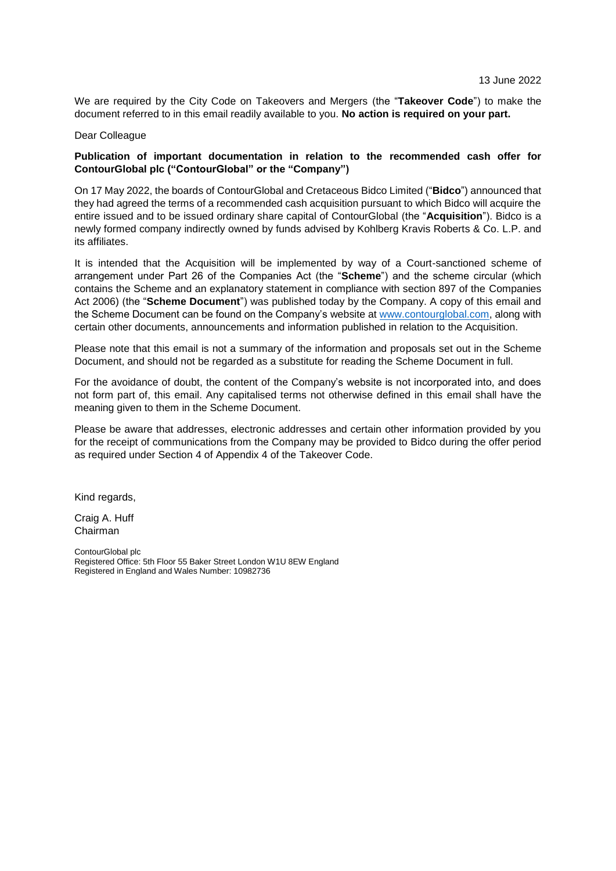We are required by the City Code on Takeovers and Mergers (the "**Takeover Code**") to make the document referred to in this email readily available to you. **No action is required on your part.**

#### Dear Colleague

### **Publication of important documentation in relation to the recommended cash offer for ContourGlobal plc ("ContourGlobal" or the "Company")**

On 17 May 2022, the boards of ContourGlobal and Cretaceous Bidco Limited ("**Bidco**") announced that they had agreed the terms of a recommended cash acquisition pursuant to which Bidco will acquire the entire issued and to be issued ordinary share capital of ContourGlobal (the "**Acquisition**"). Bidco is a newly formed company indirectly owned by funds advised by Kohlberg Kravis Roberts & Co. L.P. and its affiliates.

It is intended that the Acquisition will be implemented by way of a Court-sanctioned scheme of arrangement under Part 26 of the Companies Act (the "**Scheme**") and the scheme circular (which contains the Scheme and an explanatory statement in compliance with section 897 of the Companies Act 2006) (the "**Scheme Document**") was published today by the Company. A copy of this email and the Scheme Document can be found on the Company's website at [www.contourglobal.com,](http://www.contourglobal.com/) along with certain other documents, announcements and information published in relation to the Acquisition.

Please note that this email is not a summary of the information and proposals set out in the Scheme Document, and should not be regarded as a substitute for reading the Scheme Document in full.

For the avoidance of doubt, the content of the Company's website is not incorporated into, and does not form part of, this email. Any capitalised terms not otherwise defined in this email shall have the meaning given to them in the Scheme Document.

Please be aware that addresses, electronic addresses and certain other information provided by you for the receipt of communications from the Company may be provided to Bidco during the offer period as required under Section 4 of Appendix 4 of the Takeover Code.

Kind regards,

Craig A. Huff Chairman

ContourGlobal plc Registered Office: 5th Floor 55 Baker Street London W1U 8EW England Registered in England and Wales Number: 10982736